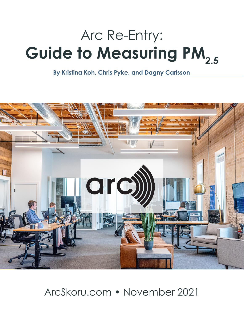# Arc Re-Entry: **Guide to Measuring PM**<sub>2.5</sub>

**By Kristina Koh, Chris Pyke, and Dagny Carlsson**



# ArcSkoru.com • November 2021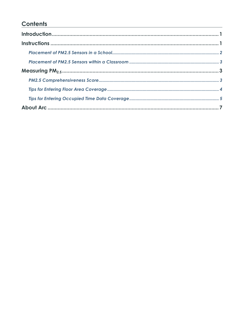# **Contents**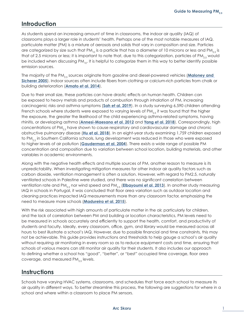# <span id="page-2-0"></span>**Introduction**

As students spend an increasing amount of time in classrooms, the indoor air quality (IAQ) of classrooms plays a larger role in students' health. Perhaps one of the most notable measures of IAQ, particulate matter (PM) is a mixture of aerosols and solids that vary in composition and size. Particles are categorized by size such that PM<sub>10</sub> is a particle that has a diameter of 10 microns or less and PM<sub>2.5</sub> is that of 2.5 microns or less; it is important to note that, due to this categorization, particles of PM<sub>2.5</sub> would be included when discussing PM<sub>10</sub>. It is helpful to categorize them in this way to better identify possible emission sources.

The majority of the PM<sub>25</sub> sources originate from gasoline and diesel-powered vehicles (Maloney and **[Sicherer 2005](https://pubmed.ncbi.nlm.nih.gov/15356303/)**). Indoor sources often include fibers from clothing or calcium-rich particles from chalk or building deterioration (**[Amato et al. 2014](https://www.sciencedirect.com/science/article/abs/pii/S0048969714007311#:~:text=On%20average%2C%2047%25%20of%20PM2,from%20chalk%20and%20building%20deterioration).)**).

Due to their small size, these particles can have drastic effects on human health. Children can be exposed to heavy metals and products of combustion through inhalation of PM, increasing carcinogenic risks and asthma symptoms (**[Sah et al. 2019](https://www.researchgate.net/publication/329415449_Pollution_characteristics_human_health_risk_through_multiple_exposure_pathways_and_source_apportionment_of_heavy_metals_in_PM_10_at_Indo-Gangetic_site)**). In a study surveying 6,590 children attending French schools where students were exposed to varying levels of PM $_{2.5}$  it was found that the higher the exposure, the greater the likelihood of the child experiencing asthma-related symptoms, having rhinitis, or developing asthma (**[Annesi-Maesano et al. 2012](https://pubmed.ncbi.nlm.nih.gov/22436169/)** and **[Yang et al. 2018](https://www.sciencedirect.com/science/article/pii/S0160412018303866)**). Correspondingly, high concentrations of PM<sub>2.5</sub> have shown to cause respiratory and cardiovascular damage and chronic obstructive pulmonary disease (**[Hu et al. 2018](https://pubmed.ncbi.nlm.nih.gov/30292144/)**). In an eight-year study examining 1,759 children exposed to  $PM_{2.5}$  in Southern California schools, lung development was reduced in those who were exposed to higher levels of air pollution (**[Gauderman et al. 2004](https://www.nejm.org/doi/full/10.1056/nejmoa040610)**). There exists a wide range of possible PM concentration and composition due to variation between school location, building materials, and other variables in academic environments.

Along with the negative health effects and multiple sources of PM, another reason to measure is its unpredictability. When investigating mitigation measures for other indoor air quality factors such as carbon dioxide, ventilation management is often a solution. However, with regard to PM2.5, naturally ventilated schools in Palestine were studied, and there was no significant correlation between ventilation rate and PM<sub>2.5</sub> nor wind speed and PM<sub>2.5</sub> ([Elbayoumi et al. 2013](https://www.sciencedirect.com/science/article/abs/pii/S1352231013005980)). In another study measuring IAQ in schools in Portugal, it was concluded that floor area variation such as outdoor location and cleaning practices impacted IAQ measurements more than any classroom factor, emphasizing the need to measure more schools (**[Madureira et al. 2015](https://pubmed.ncbi.nlm.nih.gov/26182845/)**).

With the risk associated with high amounts of particulate matter in the air, particularly for children, and the lack of correlation between PM and building or location characteristics, PM levels need to be measured in schools accurately and efficiently to support the health, comfort, and productivity of students and faculty. Ideally, every classroom, office, gym, and library would be measured across all hours to best illustrate a school's IAQ. However, due to possible financial and time constraints, this may not be achievable. This guide provides instructions and thresholds to help gauge a school's air quality without requiring air monitoring in every room so as to reduce equipment costs and time, ensuring that schools of various means can still monitor air quality for their students. It also includes our approach to defining whether a school has "good", "better", or "best" occupied time coverage, floor area coverage, and measured  $PM_{2.5}$  levels.

### **Instructions**

Schools have varying HVAC systems, classrooms, and schedules that force each school to measure its air quality in different ways. To better streamline this process, the following are suggestions for where in a school and where within a classroom to place PM sensors.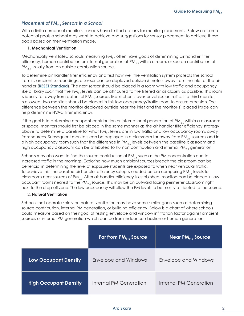#### <span id="page-3-0"></span>*Placement of PM2.5 Sensors in a School*

With a finite number of monitors, schools have limited options for monitor placements. Below are some potential goals a school may want to achieve and suggestions for sensor placement to achieve these goals based on their ventilation mode.

#### 1. **Mechanical Ventilation**

Mechanically ventilated schools measuring PM $_{2.5}$  often have goals of determining air handler filter efficiency, human contribution or internal generation of  $PM_{2.5}$  within a room, or source contribution of  $PM_{2.5}$  usually from an outside combustion source.

To determine air handler filter efficiency and test how well the ventilation system protects the school from its ambient surroundings, a sensor can be deployed outside 5 meters away from the inlet of the air handler (**[RESET Standard](https://reset.build/standard/air#air_download)**). The next sensor should be placed in a room with low traffic and occupancy like a library such that the PM<sub>25</sub> levels can be attributed to the filtered air as closely as possible. This room is ideally far away from potential PM<sub>2.5</sub> sources like kitchen stoves or vehicular traffic. If a third monitor is allowed, two monitors should be placed in this low occupancy/traffic room to ensure precision. The difference between the monitor deployed outside near the inlet and the monitor(s) placed inside can help determine HVAC filter efficiency.

If the goal is to determine occupant contribution or international generation of PM<sub>2.5</sub> within a classroom or space, monitors should first be placed in the same manner as the air handler filter efficiency strategy above to determine a baseline for what  $PM_{2.5}$  levels are in low traffic and low occupancy rooms away from sources. Subsequent monitors can be deployed in a classroom far away from  $PM_{2.5}$  sources and in a high occupancy room such that the difference in  $PM_{2.5}$  levels between the baseline classroom and high occupancy classroom can be attributed to human contribution and internal  $PM_{2s}$  generation.

Schools may also want to find the source contribution of PM $_{2.5}$  such as the PM concentration due to increased traffic in the mornings. Exploring how much ambient sources breach the classroom can be beneficial in determining the level of exposure students are exposed to when near vehicular traffic. To achieve this, the baseline air handler efficiency setup is needed before comparing PM<sub>2.5</sub> levels to classrooms near sources of PM<sub>2.5</sub>. After air handler efficiency is established, monitors can be placed in low occupant rooms nearest to the PM<sub>2.5</sub> source. This may be an outward facing perimeter classroom right next to the drop-off zone. The low occupancy will allow the PM levels to be mostly attributed to the source.

#### 2. **Natural Ventilation**

Schools that operate solely on natural ventilation may have some similar goals such as determining source contribution, internal PM generation, or building efficiency. Below is a chart of where schools could measure based on their goal of testing envelope and window infiltration factor against ambient sources or internal PM generation which can be from indoor combustion or human generation.

|                              | Far from $PM_{25}$ Source   | Near PM $_{2.5}$ Source'    |
|------------------------------|-----------------------------|-----------------------------|
| <b>Low Occupant Density</b>  | <b>Envelope and Windows</b> | <b>Envelope and Windows</b> |
| <b>High Occupant Density</b> | Internal PM Generation      | Internal PM Generation      |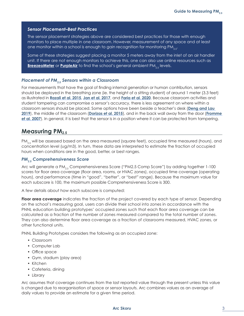#### <span id="page-4-0"></span>*Sensor Placement–Best Practices*

The sensor placement strategies above are considered best practices for those with enough monitors to place multiple in one classroom. However, measurement of any space and at least one monitor within a school is enough to gain recognition for monitoring  $PM_{2,5}$ .

Some of these strategies suggest placing a monitor 5 meters away from the inlet of an air handler unit. If there are not enough monitors to achieve this, one can also use online resources such as **[BreezeoMeter](https://www.breezometer.com/air-quality-map/)** or **[PurpleAir](https://www.purpleair.com/map?opt=1/mAQI/a10/cC0#3.24/35.78/-93.18)** to find the school's general ambient PM<sub>25</sub> levels.

#### *Placement of PM2.5 Sensors within a Classroom*

For measurements that have the goal of finding internal generation or human contribution, sensors should be deployed in the breathing zone (ie. the height of a sitting student) of around 1 meter (3.3 feet) as illustrated in **[Razali et al. 2015](https://www.sciencedirect.com/science/article/abs/pii/S0360132315000268)**, **[Jan et al. 2017](https://www.sciencedirect.com/science/article/abs/pii/S0360132316304322)**, and **[Faria et al. 2020](https://www.sciencedirect.com/science/article/abs/pii/S036013232030024X)**. Because classroom activities and student tampering can compromise a sensor's accuracy, there is less agreement on where within a classroom sensors should be placed. Some options have been beside a teacher's desk (**[Deng and Lau](https://www.sciencedirect.com/science/article/abs/pii/S0360132319302902)  [2019](https://www.sciencedirect.com/science/article/abs/pii/S0360132319302902)**), the middle of the classroom (**[Dorizas et al. 2015](https://www.sciencedirect.com/science/article/abs/pii/S0048969714013825)**), and in the back wall away from the door (**[Fromme](https://www.sciencedirect.com/science/article/abs/pii/S1352231006009046)  [et al. 2007](https://www.sciencedirect.com/science/article/abs/pii/S1352231006009046)**). In general, it is best that the sensor is in a position where it can be protected from tampering.

# **Measuring PM2.5**

PM<sub>2.5</sub> will be assessed based on the area measured (square feet), occupied time measured (hours), and concentration level (ug/m3). In turn, these data are interpreted to estimate the fraction of occupied hours when conditions are in the good, better, or best ranges.

#### *PM2.5 Comprehensiveness Score*

Arc will generate a PM<sub>2.5</sub> Comprehensiveness Score ("PM2.5 Comp Score") by adding together 1-100 scores for floor area coverage (floor area, rooms, or HVAC zones), occupied time coverage (operating hours), and performance (time in "good", "better", or "best" range). Because the maximum value for each subscore is 100, the maximum possible Comprehensiveness Score is 300.

A few details about how each subscore is computed:

**Floor area coverage** indicates the fraction of the project covered by each type of sensor. Depending on the school's measuring goal, users can divide their school into zones in accordance with the PNNL education building prototypes' occupied zones such that each floor area coverage can be calculated as a fraction of the number of zones measured compared to the total number of zones. They can also determine floor area coverage as a fraction of classrooms measured, HVAC zones, or other functional units.

PNNL Building Prototypes considers the following as an occupied zone:

- Classroom
- Computer Lab
- Office space
- Gym, stadium (play area)
- Kitchen
- Cafeteria, dining
- Library

Arc assumes that coverage continues from the last reported value through the present unless this value is changed due to reorganisation of space or sensor layouts. Arc combines values as an average of daily values to provide an estimate for a given time period.

#### **Arc Skoru** 3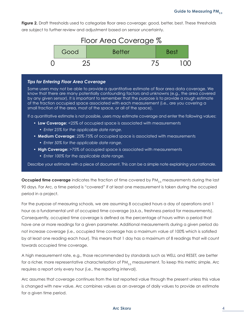<span id="page-5-0"></span>**Figure 2.** Draft thresholds used to categorize floor area coverage: good, better, best. These thresholds are subject to further review and adjustment based on sensor uncertainty.



#### *Tips for Entering Floor Area Coverage*

Some users may not be able to provide a quantitative estimate of floor area data coverage. We know that there are many potentially confounding factors and unknowns (e.g., the area covered by any given sensor). It is important to remember that the purpose is to provide a rough estimate of the fraction occupied space associated with each measurement (i.e., are you covering a small fraction of the area, most of the space, or all of the space).

If a quantitative estimate is not possible, users may estimate coverage and enter the following values:

- **Low Coverage:** <25% of occupied space is associated with measurements
	- *Enter 25% for the applicable date range.*
- **Medium Coverage:** 25%-75% of occupied space is associated with measurements
	- *Enter 50% for the applicable date range.*
- **High Coverage:** >75% of occupied space is associated with measurements
	- *Enter 100% for the applicable date range.*

Describe your estimate with a piece of document. This can be a simple note explaining your rationale.

**Occupied time coverage** indicates the fraction of time covered by PM<sub>25</sub> measurements during the last 90 days. For Arc, a time period is "covered" if at least one measurement is taken during the occupied period in a project.

For the purpose of measuring schools, we are assuming 8 occupied hours a day of operations and 1 hour as a fundamental unit of occupied time coverage (a.k.a., freshness period for measurements). Consequently, occupied time coverage is defined as the percentage of hours within a period that have one or more readings for a given parameter. Additional measurements during a given period do not increase coverage (i.e., occupied time coverage has a maximum value of 100% which is satisfied by at least one reading each hour). This means that 1 day has a maximum of 8 readings that will count towards occupied time coverage.

A high measurement rate, e.g., those recommended by standards such as WELL and RESET, are better for a richer, more representative characterisation of PM<sub>2.5</sub> measurement. To keep this metric simple, Arc requires a report only every hour (i.e., the reporting interval).

Arc assumes that coverage continues from the last reported value through the present unless this value is changed with new value. Arc combines values as an average of daily values to provide an estimate for a given time period.

#### **Arc Skoru** 4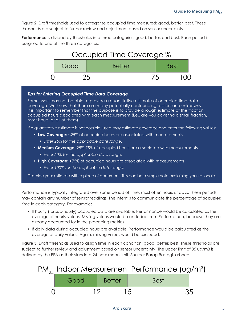<span id="page-6-0"></span>Figure 2. Draft thresholds used to categorize occupied time measured: good, better, best. These thresholds are subject to further review and adjustment based on sensor uncertainty.

**Performance** is divided by thresholds into three categories: good, better, and best. Each period is assigned to one of the three categories.



#### *Tips for Entering Occupied Time Data Coverage*

Some users may not be able to provide a quantitative estimate of occupied time data coverage. We know that there are many potentially confounding factors and unknowns. It is important to remember that the purpose is to provide a rough estimate of the fraction occupied hours associated with each measurement (i.e., are you covering a small fraction, most hours, or all of them).

If a quantitative estimate is not possible, users may estimate coverage and enter the following values:

- **Low Coverage:** <25% of occupied hours are associated with measurements
	- *Enter 25% for the applicable date range.*
- **Medium Coverage:** 25%-75% of occupied hours are associated with measurements
	- *Enter 50% for the applicable date range.*
- **High Coverage:** >75% of occupied hours are associated with measurements
	- *Enter 100% for the applicable date range.*

Describe your estimate with a piece of document. This can be a simple note explaining your rationale.

Performance is typically integrated over some period of time, most often hours or days. These periods may contain any number of sensor readings. The intent is to communicate the percentage of **occupied** time in each category. For example:

- If hourly (for sub-hourly) occupied data are available, Performance would be calculated as the average of hourly values. Missing values would be excluded from Performance, because they are already accounted for in the preceding metrics.
- If daily data during occupied hours are available, Performance would be calculated as the average of daily values. Again, missing values would be excluded.

**Figure 3.** Draft thresholds used to assign time in each condition: good, better, best. These thresholds are subject to further review and adjustment based on sensor uncertainty. The upper limit of 35 ug/m3 is defined by the [EPA](https://www.epa.gov/sites/default/files/2020-04/documents/fact_sheet_pm_naaqs_proposal.pdf) as their standard 24-hour mean limit. Source: Parag Rastogi, arbnco.